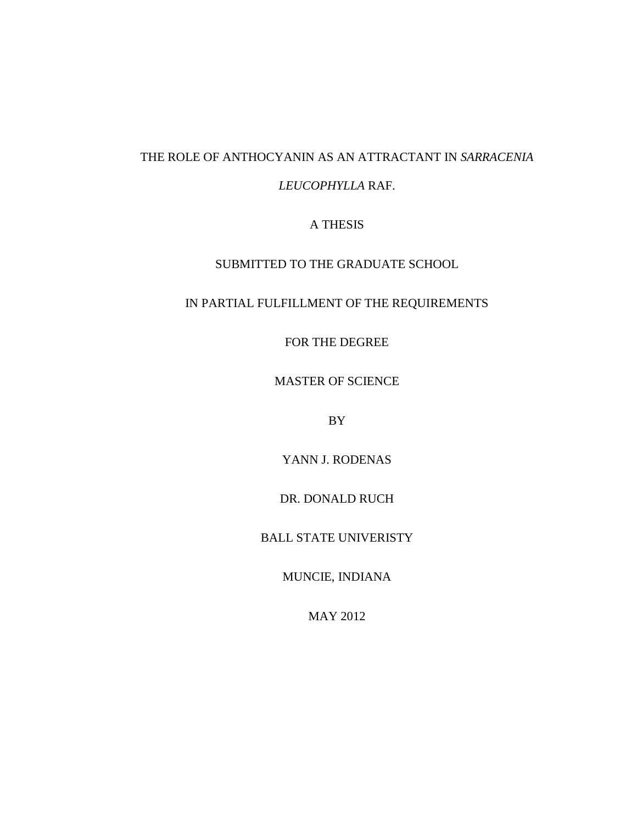# THE ROLE OF ANTHOCYANIN AS AN ATTRACTANT IN *SARRACENIA*

## *LEUCOPHYLLA* RAF.

# A THESIS

# SUBMITTED TO THE GRADUATE SCHOOL

## IN PARTIAL FULFILLMENT OF THE REQUIREMENTS

FOR THE DEGREE

MASTER OF SCIENCE

BY

YANN J. RODENAS

DR. DONALD RUCH

BALL STATE UNIVERISTY

MUNCIE, INDIANA

MAY 2012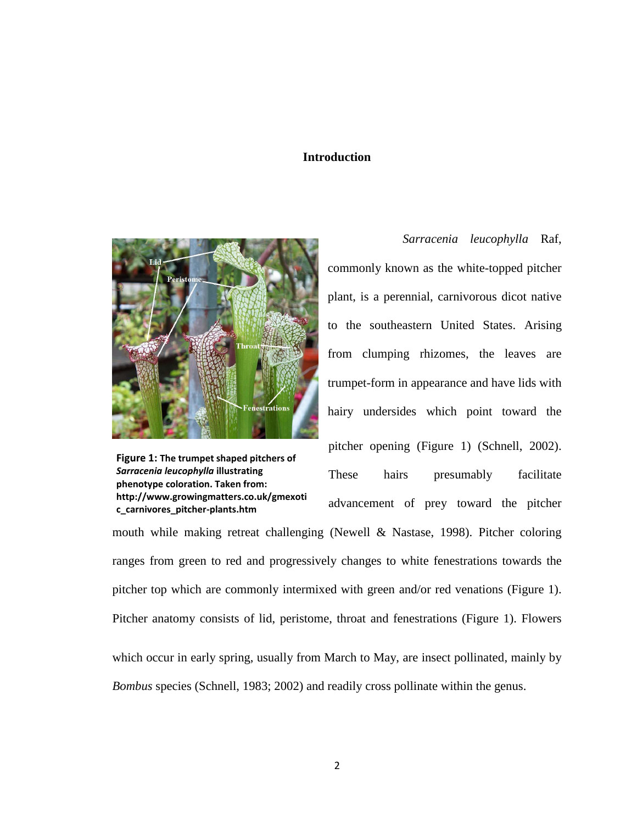#### **Introduction**



**Figure 1: The trumpet shaped pitchers of**  *Sarracenia leucophylla* **illustrating phenotype coloration. Taken from: http://www.growingmatters.co.uk/gmexoti c\_carnivores\_pitcher-plants.htm**

*Sarracenia leucophylla* Raf, commonly known as the white-topped pitcher plant, is a perennial, carnivorous dicot native to the southeastern United States. Arising from clumping rhizomes, the leaves are trumpet-form in appearance and have lids with hairy undersides which point toward the pitcher opening (Figure 1) (Schnell, 2002). These hairs presumably facilitate advancement of prey toward the pitcher mouth while making retreat challenging (Newell & Nastase, 1998). Pitcher coloring

ranges from green to red and progressively changes to white fenestrations towards the pitcher top which are commonly intermixed with green and/or red venations (Figure 1). Pitcher anatomy consists of lid, peristome, throat and fenestrations (Figure 1). Flowers which occur in early spring, usually from March to May, are insect pollinated, mainly by

*Bombus* species (Schnell, 1983; 2002) and readily cross pollinate within the genus.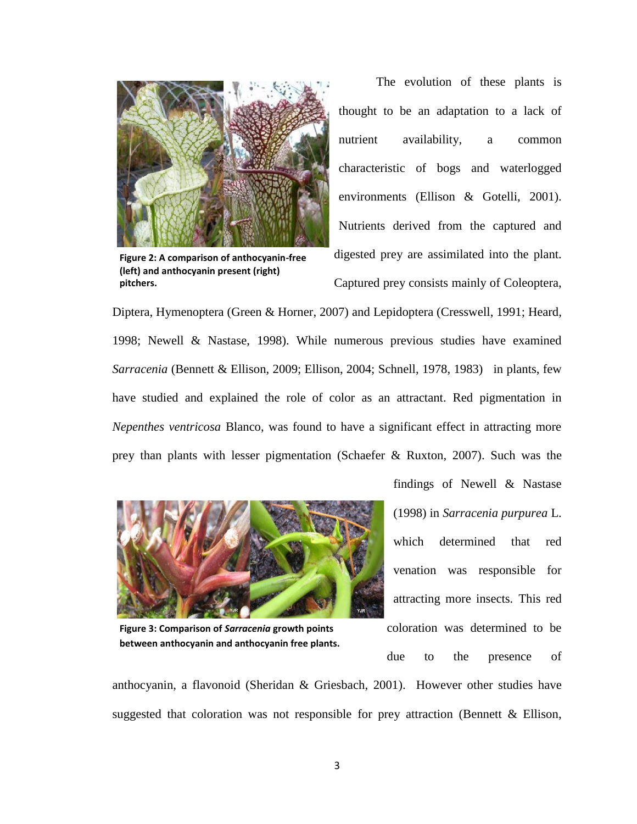

**Figure 2: A comparison of anthocyanin-free (left) and anthocyanin present (right) pitchers.**

The evolution of these plants is thought to be an adaptation to a lack of nutrient availability, a common characteristic of bogs and waterlogged environments (Ellison & Gotelli, 2001). Nutrients derived from the captured and digested prey are assimilated into the plant. Captured prey consists mainly of Coleoptera,

Diptera, Hymenoptera (Green & Horner, 2007) and Lepidoptera (Cresswell, 1991; Heard, 1998; Newell & Nastase, 1998). While numerous previous studies have examined *Sarracenia* (Bennett & Ellison, 2009; Ellison, 2004; Schnell, 1978, 1983) in plants, few have studied and explained the role of color as an attractant. Red pigmentation in *Nepenthes ventricosa* Blanco, was found to have a significant effect in attracting more prey than plants with lesser pigmentation (Schaefer & Ruxton, 2007). Such was the



**Figure 3: Comparison of** *Sarracenia* **growth points between anthocyanin and anthocyanin free plants.**

findings of Newell & Nastase (1998) in *Sarracenia purpurea* L. which determined that red venation was responsible for attracting more insects*.* This red coloration was determined to be due to the presence of

anthocyanin, a flavonoid (Sheridan & Griesbach, 2001). However other studies have suggested that coloration was not responsible for prey attraction (Bennett & Ellison,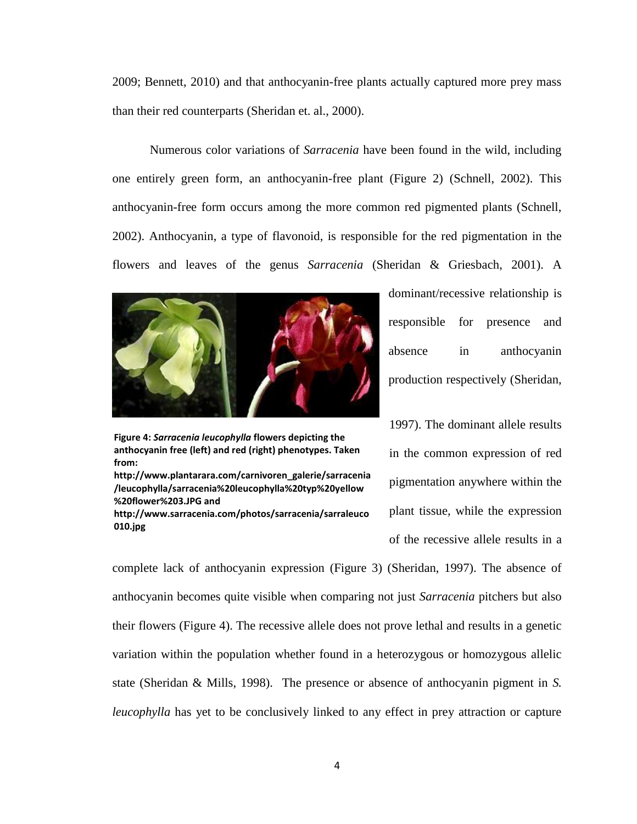2009; Bennett, 2010) and that anthocyanin-free plants actually captured more prey mass than their red counterparts (Sheridan et. al., 2000).

Numerous color variations of *Sarracenia* have been found in the wild, including one entirely green form, an anthocyanin-free plant (Figure 2) (Schnell, 2002). This anthocyanin-free form occurs among the more common red pigmented plants (Schnell, 2002). Anthocyanin, a type of flavonoid, is responsible for the red pigmentation in the flowers and leaves of the genus *Sarracenia* (Sheridan & Griesbach, 2001). A



**Figure 4:** *Sarracenia leucophylla* **flowers depicting the anthocyanin free (left) and red (right) phenotypes. Taken from:** 

**http://www.plantarara.com/carnivoren\_galerie/sarracenia /leucophylla/sarracenia%20leucophylla%20typ%20yellow %20flower%203.JPG and** 

**http://www.sarracenia.com/photos/sarracenia/sarraleuco 010.jpg**

dominant/recessive relationship is responsible for presence and absence in anthocyanin production respectively (Sheridan,

1997). The dominant allele results in the common expression of red pigmentation anywhere within the plant tissue, while the expression of the recessive allele results in a

complete lack of anthocyanin expression (Figure 3) (Sheridan, 1997). The absence of anthocyanin becomes quite visible when comparing not just *Sarracenia* pitchers but also their flowers (Figure 4). The recessive allele does not prove lethal and results in a genetic variation within the population whether found in a heterozygous or homozygous allelic state (Sheridan & Mills, 1998). The presence or absence of anthocyanin pigment in *S. leucophylla* has yet to be conclusively linked to any effect in prey attraction or capture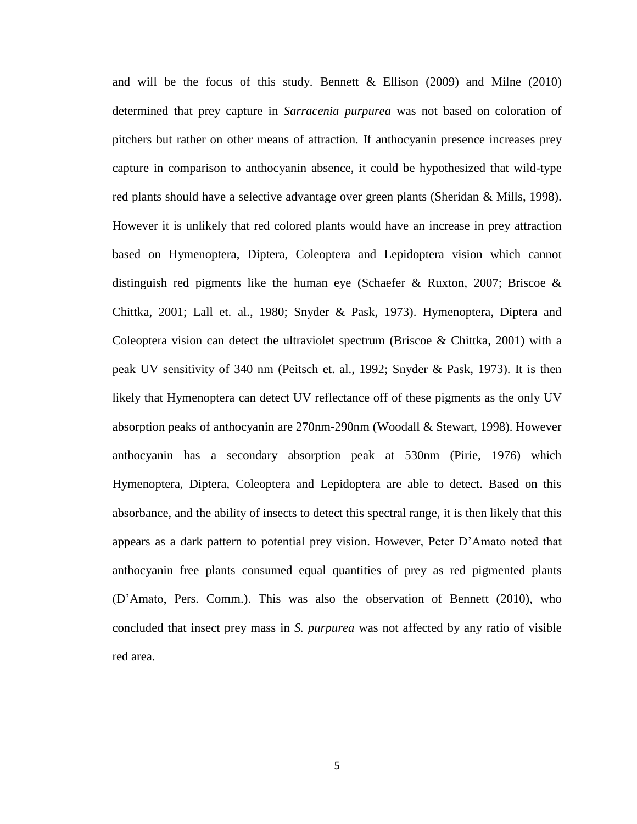and will be the focus of this study. Bennett  $\&$  Ellison (2009) and Milne (2010) determined that prey capture in *Sarracenia purpurea* was not based on coloration of pitchers but rather on other means of attraction. If anthocyanin presence increases prey capture in comparison to anthocyanin absence, it could be hypothesized that wild-type red plants should have a selective advantage over green plants (Sheridan & Mills, 1998). However it is unlikely that red colored plants would have an increase in prey attraction based on Hymenoptera, Diptera, Coleoptera and Lepidoptera vision which cannot distinguish red pigments like the human eye (Schaefer & Ruxton, 2007; Briscoe  $\&$ Chittka, 2001; Lall et. al., 1980; Snyder & Pask, 1973). Hymenoptera, Diptera and Coleoptera vision can detect the ultraviolet spectrum (Briscoe & Chittka, 2001) with a peak UV sensitivity of 340 nm (Peitsch et. al., 1992; Snyder & Pask, 1973). It is then likely that Hymenoptera can detect UV reflectance off of these pigments as the only UV absorption peaks of anthocyanin are 270nm-290nm (Woodall & Stewart, 1998). However anthocyanin has a secondary absorption peak at 530nm (Pirie, 1976) which Hymenoptera, Diptera, Coleoptera and Lepidoptera are able to detect. Based on this absorbance, and the ability of insects to detect this spectral range, it is then likely that this appears as a dark pattern to potential prey vision. However, Peter D'Amato noted that anthocyanin free plants consumed equal quantities of prey as red pigmented plants (D'Amato, Pers. Comm.). This was also the observation of Bennett (2010), who concluded that insect prey mass in *S. purpurea* was not affected by any ratio of visible red area.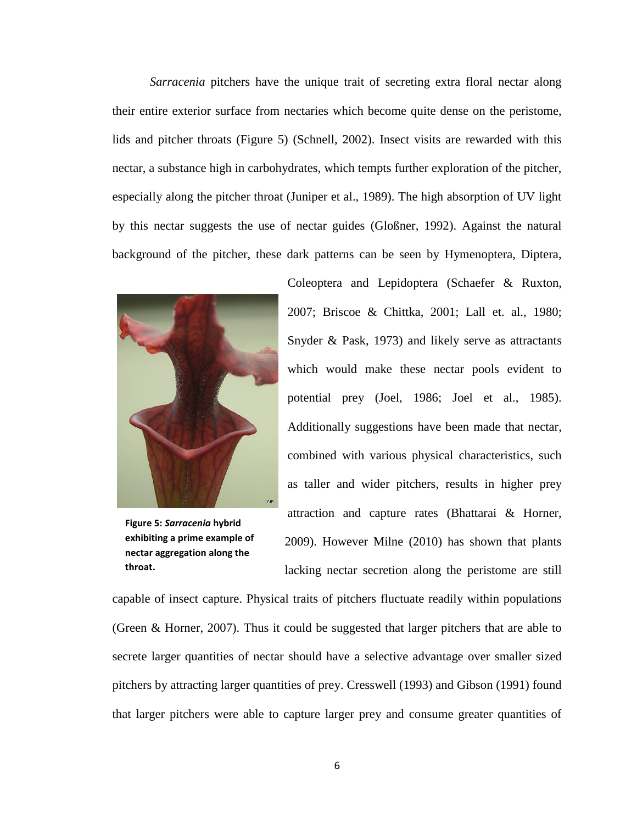*Sarracenia* pitchers have the unique trait of secreting extra floral nectar along their entire exterior surface from nectaries which become quite dense on the peristome, lids and pitcher throats (Figure 5) (Schnell, 2002). Insect visits are rewarded with this nectar, a substance high in carbohydrates, which tempts further exploration of the pitcher, especially along the pitcher throat (Juniper et al., 1989). The high absorption of UV light by this nectar suggests the use of nectar guides (Gloßner, 1992). Against the natural background of the pitcher, these dark patterns can be seen by Hymenoptera, Diptera,



**Figure 5:** *Sarracenia* **hybrid exhibiting a prime example of nectar aggregation along the throat.**

Coleoptera and Lepidoptera (Schaefer & Ruxton, 2007; Briscoe & Chittka, 2001; Lall et. al., 1980; Snyder & Pask, 1973) and likely serve as attractants which would make these nectar pools evident to potential prey (Joel, 1986; Joel et al., 1985). Additionally suggestions have been made that nectar, combined with various physical characteristics, such as taller and wider pitchers, results in higher prey attraction and capture rates (Bhattarai & Horner, 2009). However Milne (2010) has shown that plants lacking nectar secretion along the peristome are still

capable of insect capture. Physical traits of pitchers fluctuate readily within populations (Green & Horner, 2007). Thus it could be suggested that larger pitchers that are able to secrete larger quantities of nectar should have a selective advantage over smaller sized pitchers by attracting larger quantities of prey. Cresswell (1993) and Gibson (1991) found that larger pitchers were able to capture larger prey and consume greater quantities of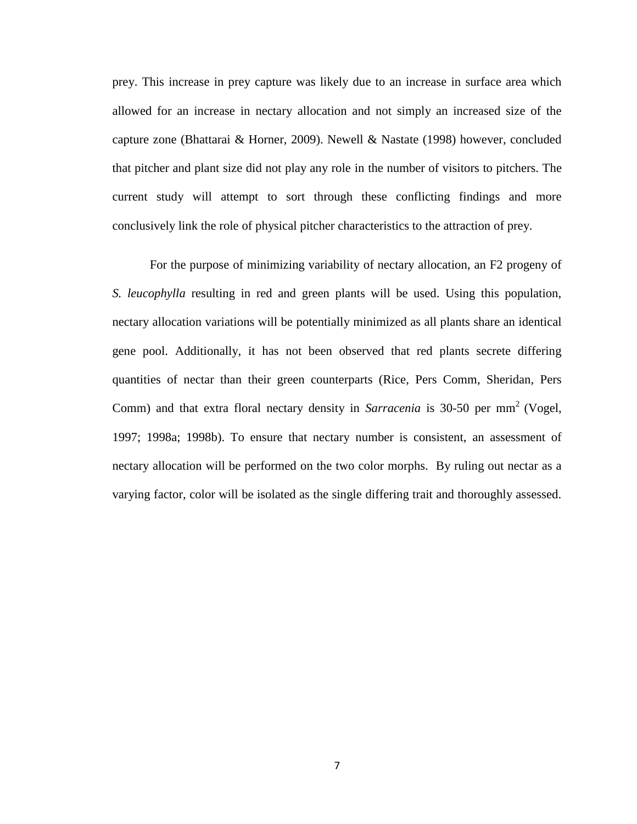prey. This increase in prey capture was likely due to an increase in surface area which allowed for an increase in nectary allocation and not simply an increased size of the capture zone (Bhattarai & Horner, 2009). Newell & Nastate (1998) however, concluded that pitcher and plant size did not play any role in the number of visitors to pitchers. The current study will attempt to sort through these conflicting findings and more conclusively link the role of physical pitcher characteristics to the attraction of prey.

For the purpose of minimizing variability of nectary allocation, an F2 progeny of *S. leucophylla* resulting in red and green plants will be used. Using this population, nectary allocation variations will be potentially minimized as all plants share an identical gene pool. Additionally, it has not been observed that red plants secrete differing quantities of nectar than their green counterparts (Rice, Pers Comm, Sheridan, Pers Comm) and that extra floral nectary density in *Sarracenia* is 30-50 per mm 2 (Vogel, 1997; 1998a; 1998b). To ensure that nectary number is consistent, an assessment of nectary allocation will be performed on the two color morphs. By ruling out nectar as a varying factor, color will be isolated as the single differing trait and thoroughly assessed.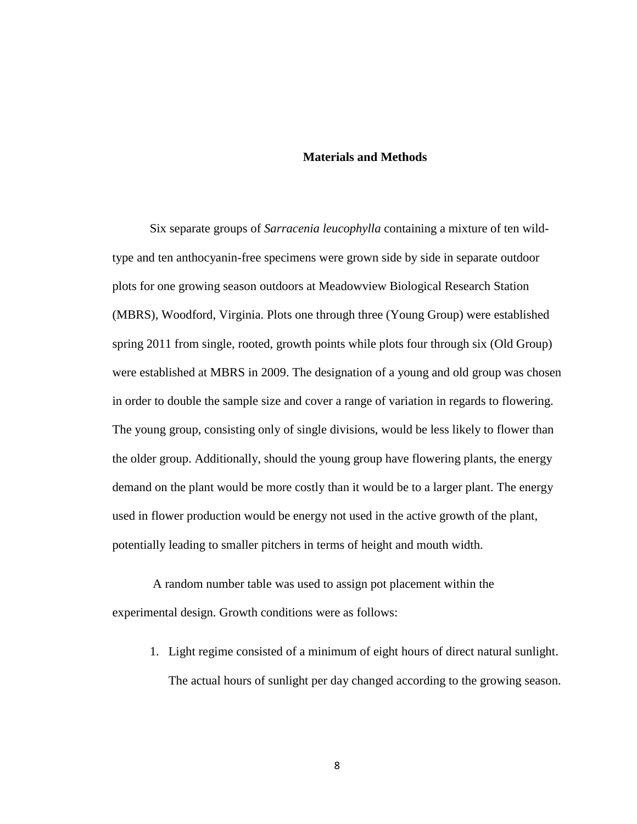#### **Materials and Methods**

Six separate groups of *Sarracenia leucophylla* containing a mixture of ten wildtype and ten anthocyanin-free specimens were grown side by side in separate outdoor plots for one growing season outdoors at Meadowview Biological Research Station (MBRS), Woodford, Virginia. Plots one through three (Young Group) were established spring 2011 from single, rooted, growth points while plots four through six (Old Group) were established at MBRS in 2009. The designation of a young and old group was chosen in order to double the sample size and cover a range of variation in regards to flowering. The young group, consisting only of single divisions, would be less likely to flower than the older group. Additionally, should the young group have flowering plants, the energy demand on the plant would be more costly than it would be to a larger plant. The energy used in flower production would be energy not used in the active growth of the plant, potentially leading to smaller pitchers in terms of height and mouth width.

A random number table was used to assign pot placement within the experimental design. Growth conditions were as follows:

1. Light regime consisted of a minimum of eight hours of direct natural sunlight. The actual hours of sunlight per day changed according to the growing season.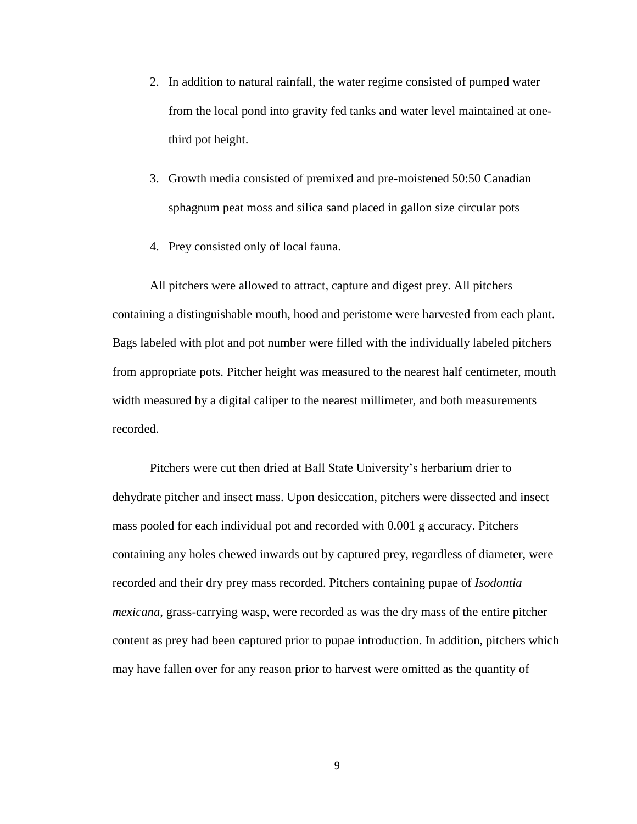- 2. In addition to natural rainfall, the water regime consisted of pumped water from the local pond into gravity fed tanks and water level maintained at onethird pot height.
- 3. Growth media consisted of premixed and pre-moistened 50:50 Canadian sphagnum peat moss and silica sand placed in gallon size circular pots
- 4. Prey consisted only of local fauna.

All pitchers were allowed to attract, capture and digest prey. All pitchers containing a distinguishable mouth, hood and peristome were harvested from each plant. Bags labeled with plot and pot number were filled with the individually labeled pitchers from appropriate pots. Pitcher height was measured to the nearest half centimeter, mouth width measured by a digital caliper to the nearest millimeter, and both measurements recorded.

Pitchers were cut then dried at Ball State University's herbarium drier to dehydrate pitcher and insect mass. Upon desiccation, pitchers were dissected and insect mass pooled for each individual pot and recorded with 0.001 g accuracy. Pitchers containing any holes chewed inwards out by captured prey, regardless of diameter, were recorded and their dry prey mass recorded. Pitchers containing pupae of *Isodontia mexicana*, grass-carrying wasp, were recorded as was the dry mass of the entire pitcher content as prey had been captured prior to pupae introduction. In addition, pitchers which may have fallen over for any reason prior to harvest were omitted as the quantity of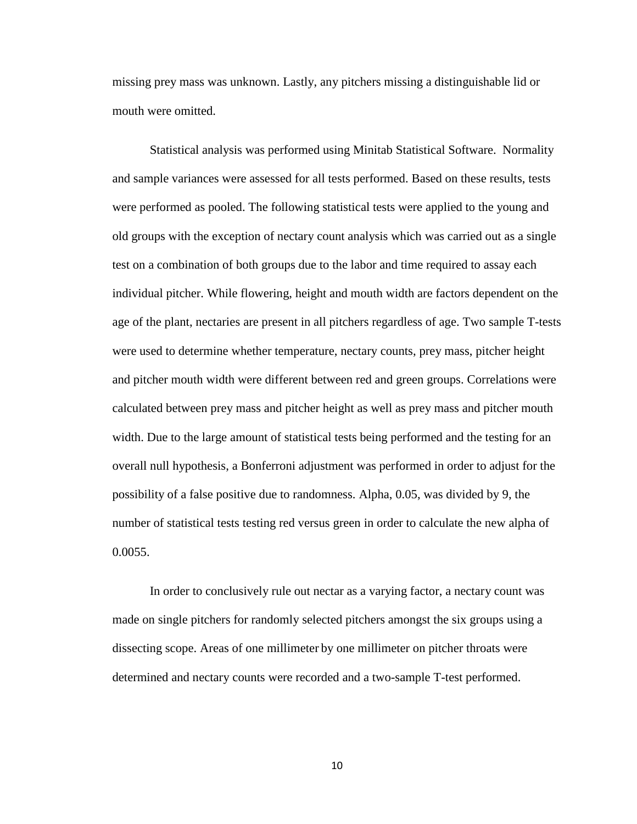missing prey mass was unknown. Lastly, any pitchers missing a distinguishable lid or mouth were omitted.

Statistical analysis was performed using Minitab Statistical Software. Normality and sample variances were assessed for all tests performed. Based on these results, tests were performed as pooled. The following statistical tests were applied to the young and old groups with the exception of nectary count analysis which was carried out as a single test on a combination of both groups due to the labor and time required to assay each individual pitcher. While flowering, height and mouth width are factors dependent on the age of the plant, nectaries are present in all pitchers regardless of age. Two sample T-tests were used to determine whether temperature, nectary counts, prey mass, pitcher height and pitcher mouth width were different between red and green groups. Correlations were calculated between prey mass and pitcher height as well as prey mass and pitcher mouth width. Due to the large amount of statistical tests being performed and the testing for an overall null hypothesis, a Bonferroni adjustment was performed in order to adjust for the possibility of a false positive due to randomness. Alpha, 0.05, was divided by 9, the number of statistical tests testing red versus green in order to calculate the new alpha of 0.0055.

In order to conclusively rule out nectar as a varying factor, a nectary count was made on single pitchers for randomly selected pitchers amongst the six groups using a dissecting scope. Areas of one millimeter by one millimeter on pitcher throats were determined and nectary counts were recorded and a two-sample T-test performed.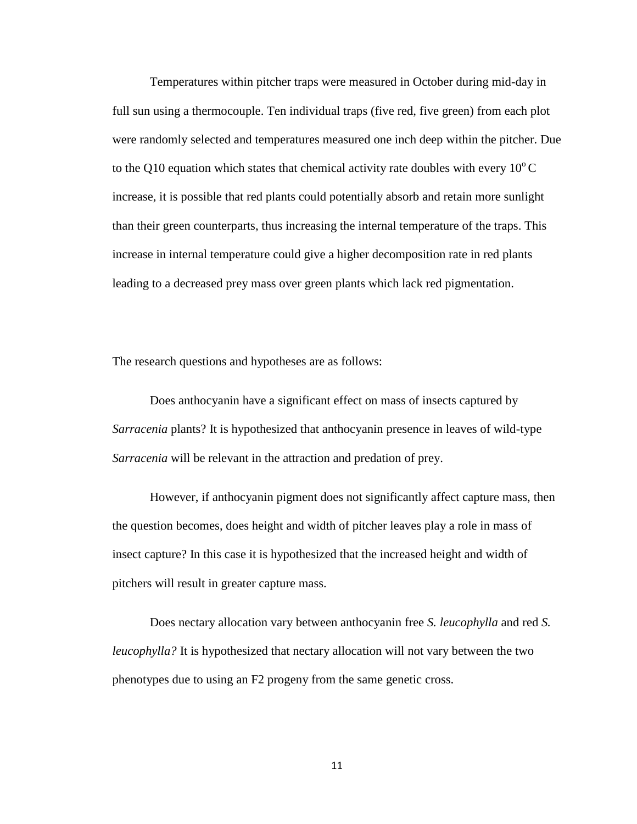Temperatures within pitcher traps were measured in October during mid-day in full sun using a thermocouple. Ten individual traps (five red, five green) from each plot were randomly selected and temperatures measured one inch deep within the pitcher. Due to the Q10 equation which states that chemical activity rate doubles with every  $10^{\circ}$ C increase, it is possible that red plants could potentially absorb and retain more sunlight than their green counterparts, thus increasing the internal temperature of the traps. This increase in internal temperature could give a higher decomposition rate in red plants leading to a decreased prey mass over green plants which lack red pigmentation.

The research questions and hypotheses are as follows:

Does anthocyanin have a significant effect on mass of insects captured by *Sarracenia* plants? It is hypothesized that anthocyanin presence in leaves of wild-type *Sarracenia* will be relevant in the attraction and predation of prey.

However, if anthocyanin pigment does not significantly affect capture mass, then the question becomes, does height and width of pitcher leaves play a role in mass of insect capture? In this case it is hypothesized that the increased height and width of pitchers will result in greater capture mass.

Does nectary allocation vary between anthocyanin free *S. leucophylla* and red *S. leucophylla?* It is hypothesized that nectary allocation will not vary between the two phenotypes due to using an F2 progeny from the same genetic cross.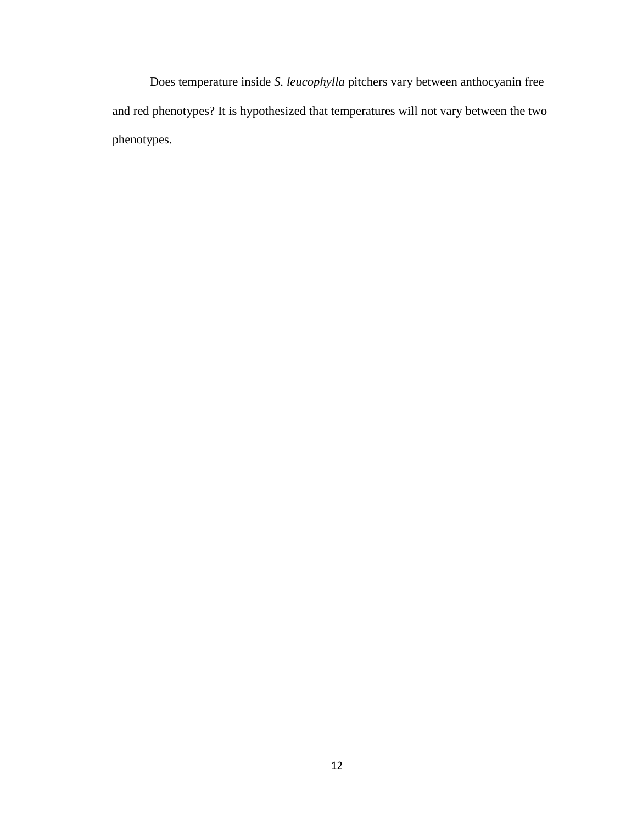Does temperature inside *S. leucophylla* pitchers vary between anthocyanin free and red phenotypes? It is hypothesized that temperatures will not vary between the two phenotypes.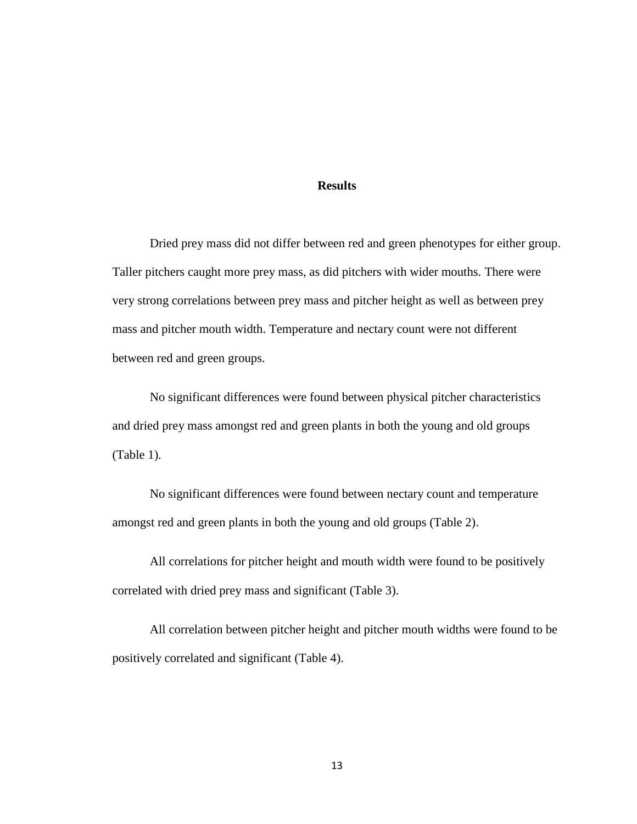#### **Results**

Dried prey mass did not differ between red and green phenotypes for either group. Taller pitchers caught more prey mass, as did pitchers with wider mouths. There were very strong correlations between prey mass and pitcher height as well as between prey mass and pitcher mouth width. Temperature and nectary count were not different between red and green groups.

No significant differences were found between physical pitcher characteristics and dried prey mass amongst red and green plants in both the young and old groups (Table 1).

No significant differences were found between nectary count and temperature amongst red and green plants in both the young and old groups (Table 2).

All correlations for pitcher height and mouth width were found to be positively correlated with dried prey mass and significant (Table 3).

All correlation between pitcher height and pitcher mouth widths were found to be positively correlated and significant (Table 4).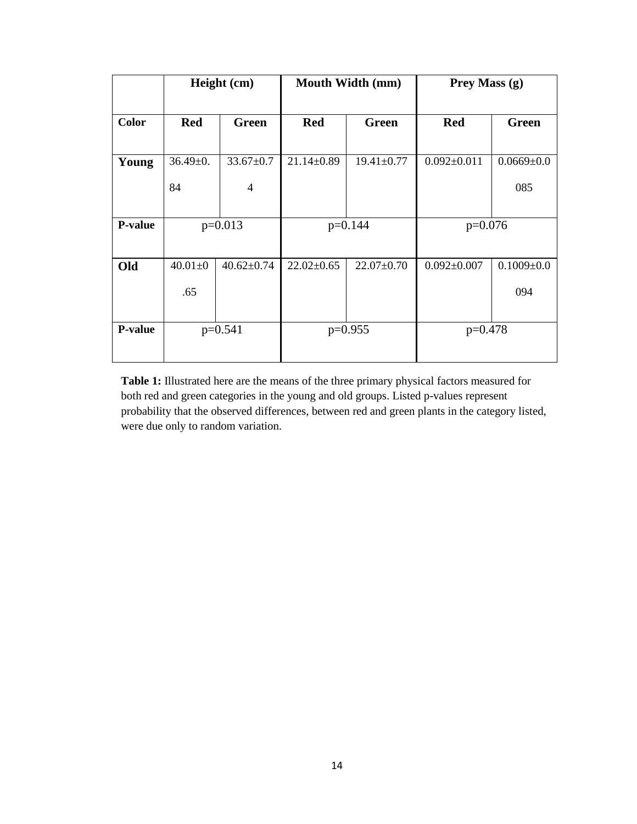|                |                | Height (cm)      | Mouth Width (mm) |                  | Prey Mass (g)     |                  |
|----------------|----------------|------------------|------------------|------------------|-------------------|------------------|
|                |                |                  |                  |                  |                   |                  |
| <b>Color</b>   | <b>Red</b>     | Green            | <b>Red</b>       | Green            | <b>Red</b>        | Green            |
|                |                |                  |                  |                  |                   |                  |
| Young          | $36.49 \pm 0.$ | $33.67 \pm 0.7$  | $21.14 \pm 0.89$ | $19.41 \pm 0.77$ | $0.092 \pm 0.011$ | $0.0669 \pm 0.0$ |
|                | 84             | $\overline{4}$   |                  |                  |                   | 085              |
|                |                |                  |                  |                  |                   |                  |
| <b>P-value</b> | $p=0.013$      |                  | $p=0.144$        |                  | $p=0.076$         |                  |
|                |                |                  |                  |                  |                   |                  |
| Old            | $40.01 \pm 0$  | $40.62 \pm 0.74$ | $22.02 \pm 0.65$ | $22.07 \pm 0.70$ | $0.092 \pm 0.007$ | $0.1009 \pm 0.0$ |
|                | .65            |                  |                  |                  |                   | 094              |
|                |                |                  |                  |                  |                   |                  |
| <b>P-value</b> |                | $p=0.541$        | $p=0.955$        |                  | $p=0.478$         |                  |
|                |                |                  |                  |                  |                   |                  |

**Table 1:** Illustrated here are the means of the three primary physical factors measured for both red and green categories in the young and old groups. Listed p-values represent probability that the observed differences, between red and green plants in the category listed, were due only to random variation.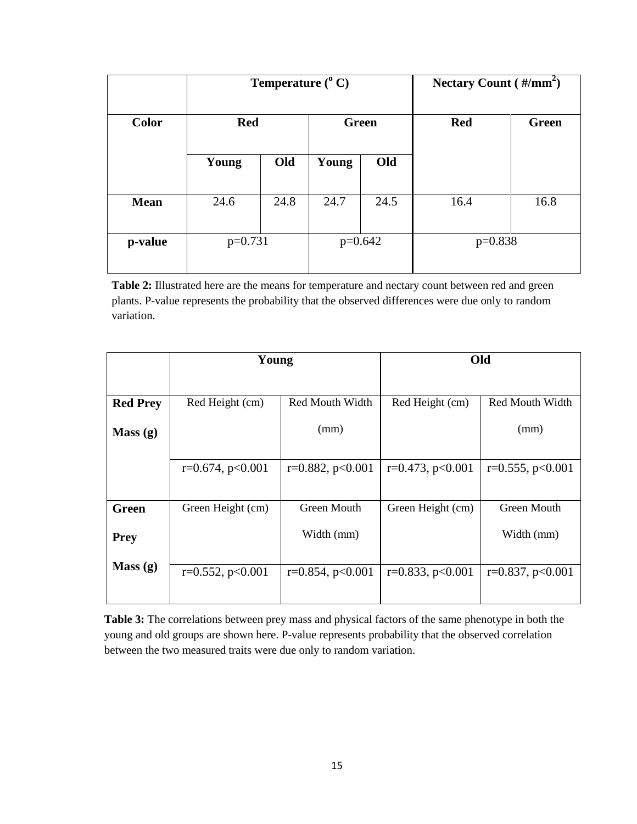|              | Temperature $(^{\circ}$ C) |      |              |      | Nectary Count $(\frac{\text{#}}{\text{mm}^2})$ |              |
|--------------|----------------------------|------|--------------|------|------------------------------------------------|--------------|
| <b>Color</b> | <b>Red</b>                 |      | <b>Green</b> |      | <b>Red</b>                                     | <b>Green</b> |
|              | Young                      | Old  | Young        | Old  |                                                |              |
| <b>Mean</b>  | 24.6                       | 24.8 | 24.7         | 24.5 | 16.4                                           | 16.8         |
| p-value      | $p=0.731$                  |      | $p=0.642$    |      | $p=0.838$                                      |              |

**Table 2:** Illustrated here are the means for temperature and nectary count between red and green plants. P-value represents the probability that the observed differences were due only to random variation.

|                 | Young                 |                       | Old                   |                       |  |
|-----------------|-----------------------|-----------------------|-----------------------|-----------------------|--|
|                 |                       |                       |                       |                       |  |
| <b>Red Prey</b> | Red Height (cm)       | Red Mouth Width       | Red Height (cm)       | Red Mouth Width       |  |
| Mass(g)         |                       | (mm)                  |                       | (mm)                  |  |
|                 | $r=0.674$ , $p<0.001$ | $r=0.882, p<0.001$    | $r=0.473$ , $p<0.001$ | $r=0.555$ , $p<0.001$ |  |
| Green           | Green Height (cm)     | Green Mouth           | Green Height (cm)     | Green Mouth           |  |
| <b>Prey</b>     |                       | Width (mm)            |                       | Width (mm)            |  |
| Mass(g)         | $r=0.552$ , $p<0.001$ | $r=0.854$ , $p<0.001$ | $r=0.833$ , $p<0.001$ | $r=0.837, p<0.001$    |  |

**Table 3:** The correlations between prey mass and physical factors of the same phenotype in both the young and old groups are shown here. P-value represents probability that the observed correlation between the two measured traits were due only to random variation.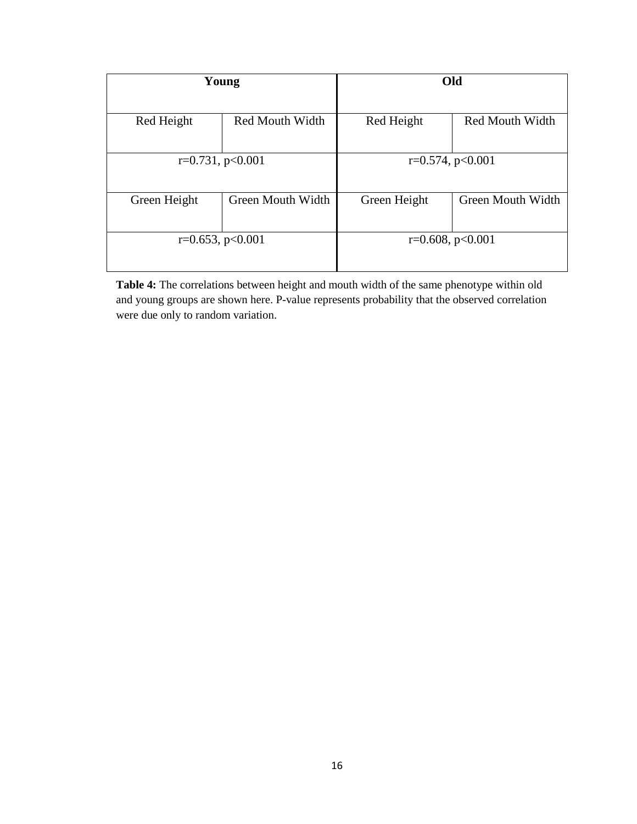|                               | Young                 | Old                           |                   |  |
|-------------------------------|-----------------------|-------------------------------|-------------------|--|
| Red Height<br>Red Mouth Width |                       | Red Mouth Width<br>Red Height |                   |  |
|                               | $r=0.731$ , $p<0.001$ | $r=0.574$ , $p<0.001$         |                   |  |
| Green Height                  | Green Mouth Width     | Green Height                  | Green Mouth Width |  |
|                               | $r=0.653$ , $p<0.001$ | $r=0.608$ , $p<0.001$         |                   |  |

**Table 4:** The correlations between height and mouth width of the same phenotype within old and young groups are shown here. P-value represents probability that the observed correlation were due only to random variation.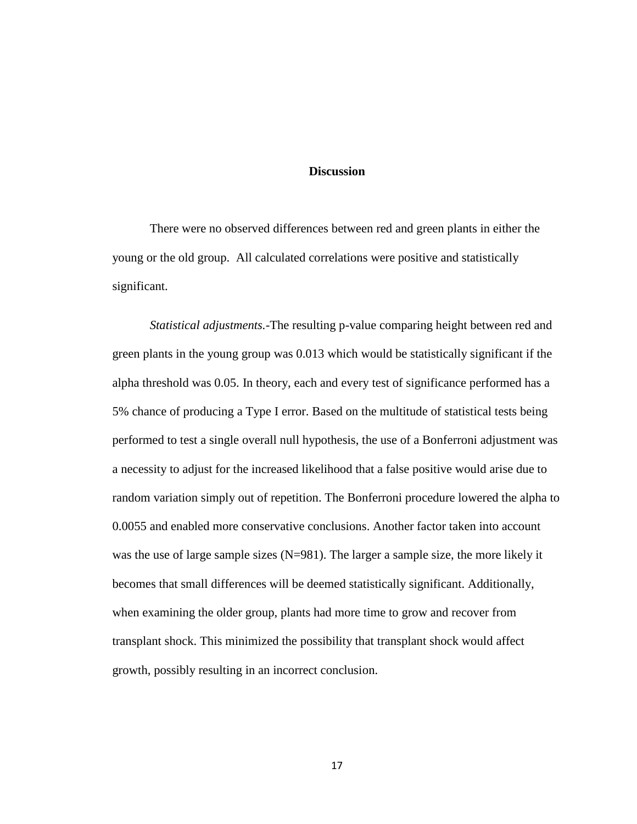### **Discussion**

There were no observed differences between red and green plants in either the young or the old group. All calculated correlations were positive and statistically significant.

*Statistical adjustments.-*The resulting p-value comparing height between red and green plants in the young group was 0.013 which would be statistically significant if the alpha threshold was 0.05. In theory, each and every test of significance performed has a 5% chance of producing a Type I error. Based on the multitude of statistical tests being performed to test a single overall null hypothesis, the use of a Bonferroni adjustment was a necessity to adjust for the increased likelihood that a false positive would arise due to random variation simply out of repetition. The Bonferroni procedure lowered the alpha to 0.0055 and enabled more conservative conclusions. Another factor taken into account was the use of large sample sizes (N=981). The larger a sample size, the more likely it becomes that small differences will be deemed statistically significant. Additionally, when examining the older group, plants had more time to grow and recover from transplant shock. This minimized the possibility that transplant shock would affect growth, possibly resulting in an incorrect conclusion.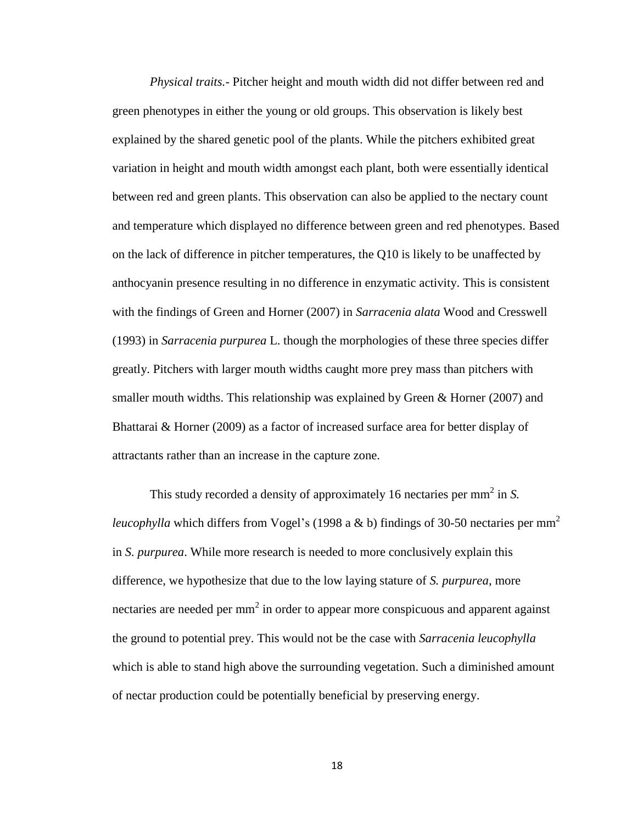*Physical traits.-* Pitcher height and mouth width did not differ between red and green phenotypes in either the young or old groups. This observation is likely best explained by the shared genetic pool of the plants. While the pitchers exhibited great variation in height and mouth width amongst each plant, both were essentially identical between red and green plants. This observation can also be applied to the nectary count and temperature which displayed no difference between green and red phenotypes. Based on the lack of difference in pitcher temperatures, the Q10 is likely to be unaffected by anthocyanin presence resulting in no difference in enzymatic activity. This is consistent with the findings of Green and Horner (2007) in *Sarracenia alata* Wood and Cresswell (1993) in *Sarracenia purpurea* L. though the morphologies of these three species differ greatly. Pitchers with larger mouth widths caught more prey mass than pitchers with smaller mouth widths. This relationship was explained by Green & Horner (2007) and Bhattarai & Horner (2009) as a factor of increased surface area for better display of attractants rather than an increase in the capture zone.

This study recorded a density of approximately 16 nectaries per mm<sup>2</sup> in *S*. *leucophylla* which differs from Vogel's (1998 a & b) findings of 30-50 nectaries per mm<sup>2</sup> in *S. purpurea*. While more research is needed to more conclusively explain this difference, we hypothesize that due to the low laying stature of *S. purpurea*, more nectaries are needed per mm<sup>2</sup> in order to appear more conspicuous and apparent against the ground to potential prey. This would not be the case with *Sarracenia leucophylla* which is able to stand high above the surrounding vegetation. Such a diminished amount of nectar production could be potentially beneficial by preserving energy.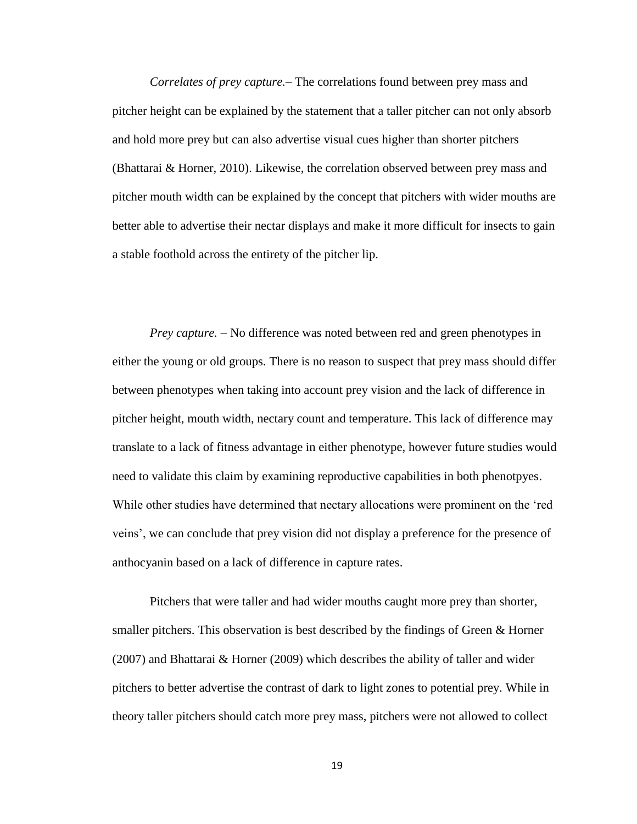*Correlates of prey capture.*– The correlations found between prey mass and pitcher height can be explained by the statement that a taller pitcher can not only absorb and hold more prey but can also advertise visual cues higher than shorter pitchers (Bhattarai & Horner, 2010). Likewise, the correlation observed between prey mass and pitcher mouth width can be explained by the concept that pitchers with wider mouths are better able to advertise their nectar displays and make it more difficult for insects to gain a stable foothold across the entirety of the pitcher lip.

*Prey capture.* – No difference was noted between red and green phenotypes in either the young or old groups. There is no reason to suspect that prey mass should differ between phenotypes when taking into account prey vision and the lack of difference in pitcher height, mouth width, nectary count and temperature. This lack of difference may translate to a lack of fitness advantage in either phenotype, however future studies would need to validate this claim by examining reproductive capabilities in both phenotpyes. While other studies have determined that nectary allocations were prominent on the 'red veins', we can conclude that prey vision did not display a preference for the presence of anthocyanin based on a lack of difference in capture rates.

Pitchers that were taller and had wider mouths caught more prey than shorter, smaller pitchers. This observation is best described by the findings of Green & Horner (2007) and Bhattarai & Horner (2009) which describes the ability of taller and wider pitchers to better advertise the contrast of dark to light zones to potential prey. While in theory taller pitchers should catch more prey mass, pitchers were not allowed to collect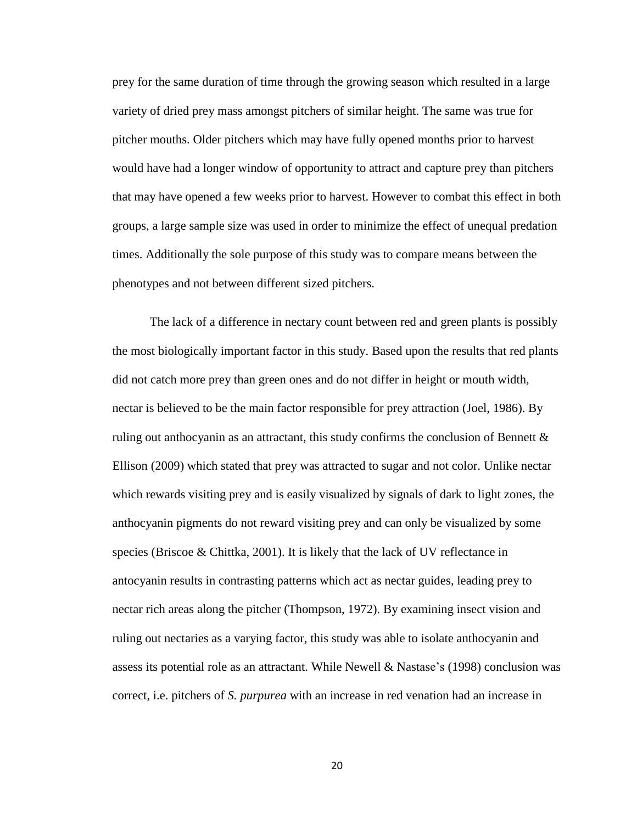prey for the same duration of time through the growing season which resulted in a large variety of dried prey mass amongst pitchers of similar height. The same was true for pitcher mouths. Older pitchers which may have fully opened months prior to harvest would have had a longer window of opportunity to attract and capture prey than pitchers that may have opened a few weeks prior to harvest. However to combat this effect in both groups, a large sample size was used in order to minimize the effect of unequal predation times. Additionally the sole purpose of this study was to compare means between the phenotypes and not between different sized pitchers.

The lack of a difference in nectary count between red and green plants is possibly the most biologically important factor in this study. Based upon the results that red plants did not catch more prey than green ones and do not differ in height or mouth width, nectar is believed to be the main factor responsible for prey attraction (Joel, 1986). By ruling out anthocyanin as an attractant, this study confirms the conclusion of Bennett  $\&$ Ellison (2009) which stated that prey was attracted to sugar and not color. Unlike nectar which rewards visiting prey and is easily visualized by signals of dark to light zones, the anthocyanin pigments do not reward visiting prey and can only be visualized by some species (Briscoe & Chittka, 2001). It is likely that the lack of UV reflectance in antocyanin results in contrasting patterns which act as nectar guides, leading prey to nectar rich areas along the pitcher (Thompson, 1972). By examining insect vision and ruling out nectaries as a varying factor, this study was able to isolate anthocyanin and assess its potential role as an attractant. While Newell & Nastase's (1998) conclusion was correct, i.e. pitchers of *S. purpurea* with an increase in red venation had an increase in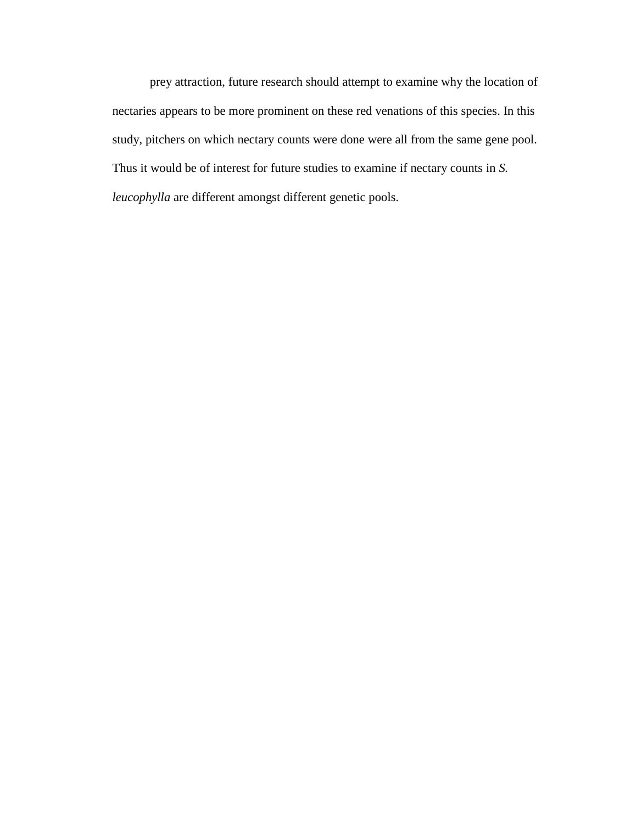prey attraction, future research should attempt to examine why the location of nectaries appears to be more prominent on these red venations of this species. In this study, pitchers on which nectary counts were done were all from the same gene pool. Thus it would be of interest for future studies to examine if nectary counts in *S. leucophylla* are different amongst different genetic pools.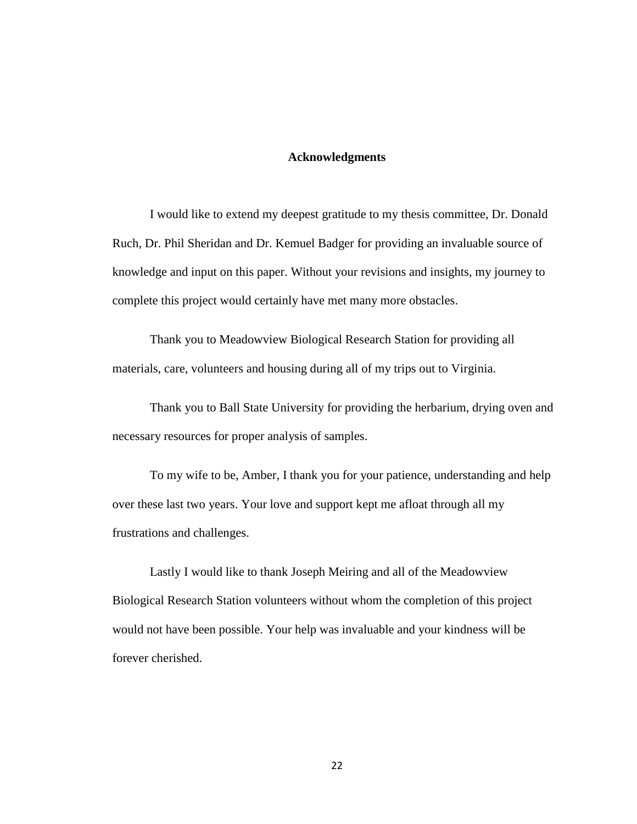#### **Acknowledgments**

I would like to extend my deepest gratitude to my thesis committee, Dr. Donald Ruch, Dr. Phil Sheridan and Dr. Kemuel Badger for providing an invaluable source of knowledge and input on this paper. Without your revisions and insights, my journey to complete this project would certainly have met many more obstacles.

Thank you to Meadowview Biological Research Station for providing all materials, care, volunteers and housing during all of my trips out to Virginia.

Thank you to Ball State University for providing the herbarium, drying oven and necessary resources for proper analysis of samples.

To my wife to be, Amber, I thank you for your patience, understanding and help over these last two years. Your love and support kept me afloat through all my frustrations and challenges.

Lastly I would like to thank Joseph Meiring and all of the Meadowview Biological Research Station volunteers without whom the completion of this project would not have been possible. Your help was invaluable and your kindness will be forever cherished.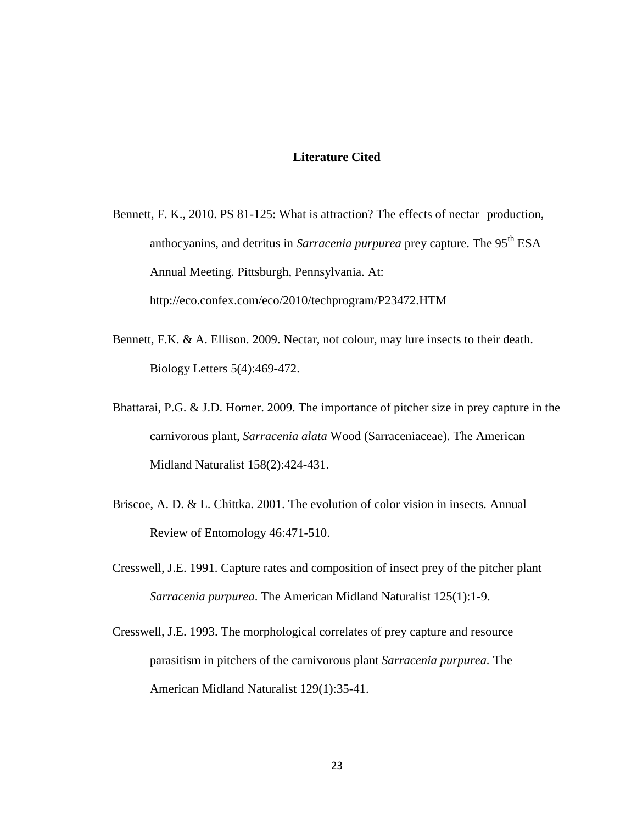### **Literature Cited**

- Bennett, F. K., 2010. PS 81-125: What is attraction? The effects of nectar production, anthocyanins, and detritus in *Sarracenia purpurea* prey capture. The 95th ESA Annual Meeting. Pittsburgh, Pennsylvania. At: http://eco.confex.com/eco/2010/techprogram/P23472.HTM
- Bennett, F.K. & A. Ellison. 2009. Nectar, not colour, may lure insects to their death. Biology Letters 5(4):469-472.
- Bhattarai, P.G. & J.D. Horner. 2009. The importance of pitcher size in prey capture in the carnivorous plant, *Sarracenia alata* Wood (Sarraceniaceae). The American Midland Naturalist 158(2):424-431.
- Briscoe, A. D. & L. Chittka. 2001. The evolution of color vision in insects*.* Annual Review of Entomology 46:471-510.
- Cresswell, J.E. 1991. Capture rates and composition of insect prey of the pitcher plant *Sarracenia purpurea*. The American Midland Naturalist 125(1):1-9.
- Cresswell, J.E. 1993. The morphological correlates of prey capture and resource parasitism in pitchers of the carnivorous plant *Sarracenia purpurea.* The American Midland Naturalist 129(1):35-41.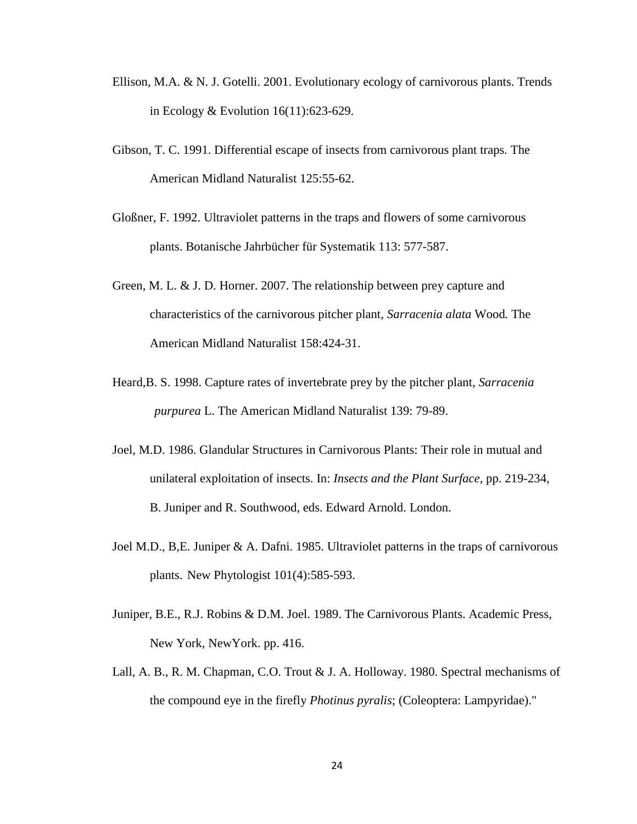- Ellison, M.A. & N. J. Gotelli. 2001. Evolutionary ecology of carnivorous plants. Trends in Ecology & Evolution 16(11):623-629.
- Gibson, T. C. 1991. Differential escape of insects from carnivorous plant traps*.* The American Midland Naturalist 125:55-62.
- Gloßner, F. 1992. Ultraviolet patterns in the traps and flowers of some carnivorous plants. Botanische Jahrbücher für Systematik 113: 577-587.
- Green, M. L. & J. D. Horner. 2007. The relationship between prey capture and characteristics of the carnivorous pitcher plant, *Sarracenia alata* Wood*.* The American Midland Naturalist 158:424-31.
- Heard,B. S. 1998. Capture rates of invertebrate prey by the pitcher plant, *Sarracenia purpurea* L. The American Midland Naturalist 139: 79-89.
- Joel, M.D. 1986. Glandular Structures in Carnivorous Plants: Their role in mutual and unilateral exploitation of insects. In: *Insects and the Plant Surface*, pp. 219-234, B. Juniper and R. Southwood, eds. Edward Arnold. London.
- Joel M.D., B,E. Juniper & A. Dafni. 1985. Ultraviolet patterns in the traps of carnivorous plants. New Phytologist 101(4):585-593.
- Juniper, B.E., R.J. Robins & D.M. Joel. 1989. The Carnivorous Plants. Academic Press, New York, NewYork. pp. 416.
- Lall, A. B., R. M. Chapman, C.O. Trout & J. A. Holloway. 1980. Spectral mechanisms of the compound eye in the firefly *Photinus pyralis*; (Coleoptera: Lampyridae)."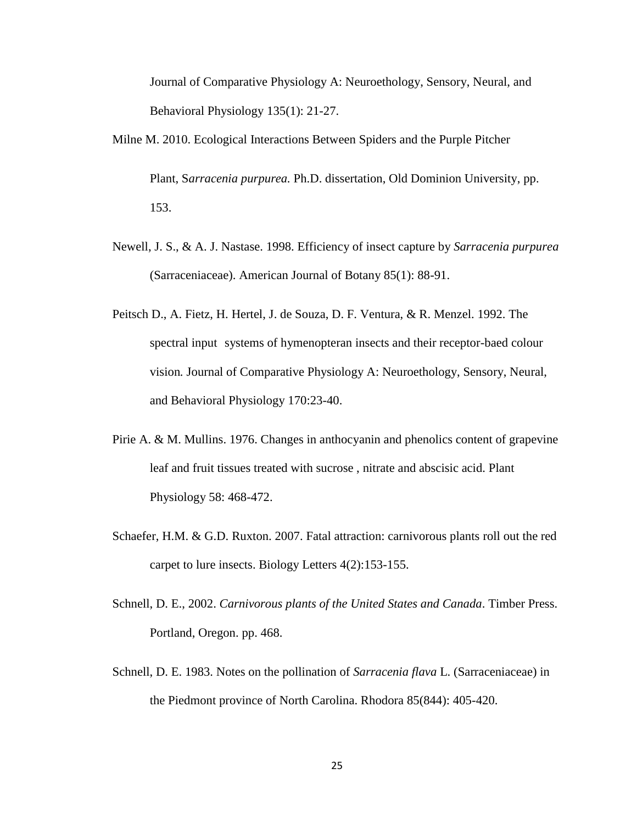Journal of Comparative Physiology A: Neuroethology, Sensory, Neural, and Behavioral Physiology 135(1): 21-27.

Milne M. 2010. Ecological Interactions Between Spiders and the Purple Pitcher

Plant, S*arracenia purpurea.* Ph.D. dissertation, Old Dominion University, pp. 153.

- Newell, J. S., & A. J. Nastase. 1998. Efficiency of insect capture by *Sarracenia purpurea*  (Sarraceniaceae). American Journal of Botany 85(1): 88-91.
- Peitsch D., A. Fietz, H. Hertel, J. de Souza, D. F. Ventura, & R. Menzel. 1992. The spectral input systems of hymenopteran insects and their receptor-baed colour vision*.* Journal of Comparative Physiology A: Neuroethology, Sensory, Neural, and Behavioral Physiology 170:23-40.
- Pirie A. & M. Mullins. 1976. Changes in anthocyanin and phenolics content of grapevine leaf and fruit tissues treated with sucrose , nitrate and abscisic acid. Plant Physiology 58: 468-472.
- Schaefer, H.M. & G.D. Ruxton. 2007. Fatal attraction: carnivorous plants roll out the red carpet to lure insects. Biology Letters 4(2):153-155.
- Schnell, D. E., 2002. *Carnivorous plants of the United States and Canada*. Timber Press. Portland, Oregon. pp. 468.
- Schnell, D. E. 1983. Notes on the pollination of *Sarracenia flava* L. (Sarraceniaceae) in the Piedmont province of North Carolina. Rhodora 85(844): 405-420.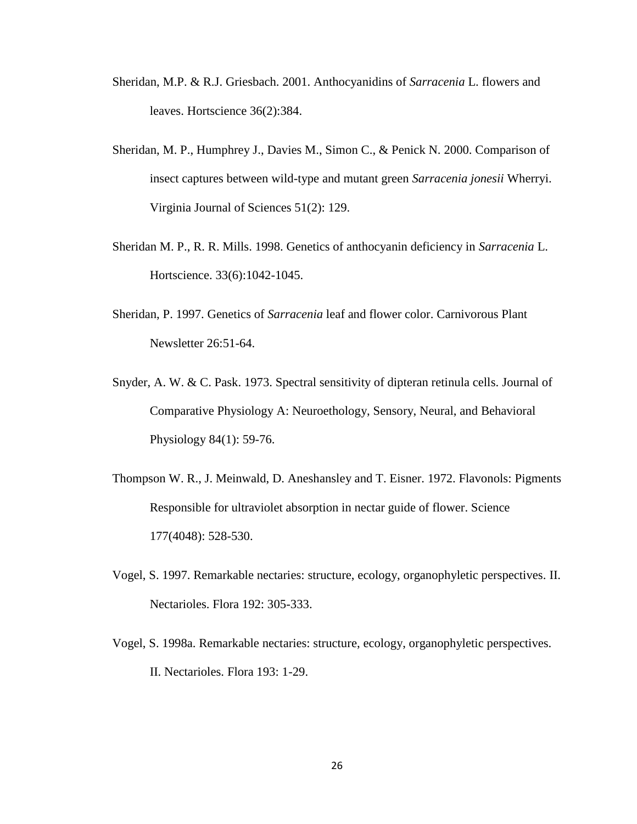- Sheridan, M.P. & R.J. Griesbach. 2001. Anthocyanidins of *Sarracenia* L. flowers and leaves. Hortscience 36(2):384.
- Sheridan, M. P., Humphrey J., Davies M., Simon C., & Penick N. 2000. Comparison of insect captures between wild-type and mutant green *Sarracenia jonesii* Wherryi. Virginia Journal of Sciences 51(2): 129.
- Sheridan M. P., R. R. Mills. 1998. Genetics of anthocyanin deficiency in *Sarracenia* L. Hortscience. 33(6):1042-1045.
- Sheridan, P. 1997. Genetics of *Sarracenia* leaf and flower color. Carnivorous Plant Newsletter 26:51-64.
- Snyder, A. W. & C. Pask. 1973. Spectral sensitivity of dipteran retinula cells. Journal of Comparative Physiology A: Neuroethology, Sensory, Neural, and Behavioral Physiology 84(1): 59-76.
- Thompson W. R., J. Meinwald, D. Aneshansley and T. Eisner. 1972. Flavonols: Pigments Responsible for ultraviolet absorption in nectar guide of flower. Science 177(4048): 528-530.
- Vogel, S. 1997. Remarkable nectaries: structure, ecology, organophyletic perspectives. II. Nectarioles. Flora 192: 305-333.
- Vogel, S. 1998a. Remarkable nectaries: structure, ecology, organophyletic perspectives. II. Nectarioles. Flora 193: 1-29.